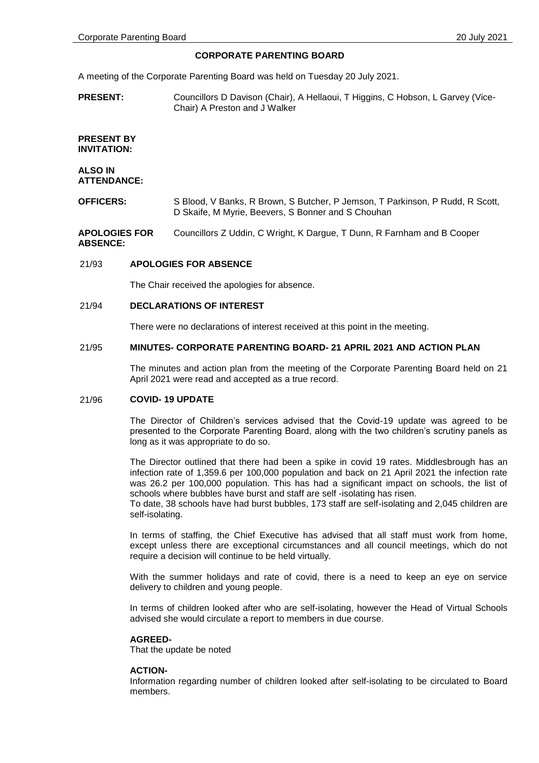## **CORPORATE PARENTING BOARD**

A meeting of the Corporate Parenting Board was held on Tuesday 20 July 2021.

**PRESENT:** Councillors D Davison (Chair), A Hellaoui, T Higgins, C Hobson, L Garvey (Vice-Chair) A Preston and J Walker

## **PRESENT BY INVITATION:**

#### **ALSO IN ATTENDANCE:**

**OFFICERS:** S Blood, V Banks, R Brown, S Butcher, P Jemson, T Parkinson, P Rudd, R Scott, D Skaife, M Myrie, Beevers, S Bonner and S Chouhan

**APOLOGIES FOR ABSENCE:** Councillors Z Uddin, C Wright, K Dargue, T Dunn, R Farnham and B Cooper

#### 21/93 **APOLOGIES FOR ABSENCE**

The Chair received the apologies for absence.

### 21/94 **DECLARATIONS OF INTEREST**

There were no declarations of interest received at this point in the meeting.

#### 21/95 **MINUTES- CORPORATE PARENTING BOARD- 21 APRIL 2021 AND ACTION PLAN**

The minutes and action plan from the meeting of the Corporate Parenting Board held on 21 April 2021 were read and accepted as a true record.

### 21/96 **COVID- 19 UPDATE**

The Director of Children's services advised that the Covid-19 update was agreed to be presented to the Corporate Parenting Board, along with the two children's scrutiny panels as long as it was appropriate to do so.

The Director outlined that there had been a spike in covid 19 rates. Middlesbrough has an infection rate of 1,359.6 per 100,000 population and back on 21 April 2021 the infection rate was 26.2 per 100,000 population. This has had a significant impact on schools, the list of schools where bubbles have burst and staff are self -isolating has risen.

To date, 38 schools have had burst bubbles, 173 staff are self-isolating and 2,045 children are self-isolating.

In terms of staffing, the Chief Executive has advised that all staff must work from home, except unless there are exceptional circumstances and all council meetings, which do not require a decision will continue to be held virtually.

With the summer holidays and rate of covid, there is a need to keep an eye on service delivery to children and young people.

In terms of children looked after who are self-isolating, however the Head of Virtual Schools advised she would circulate a report to members in due course.

### **AGREED-**

That the update be noted

### **ACTION-**

Information regarding number of children looked after self-isolating to be circulated to Board members.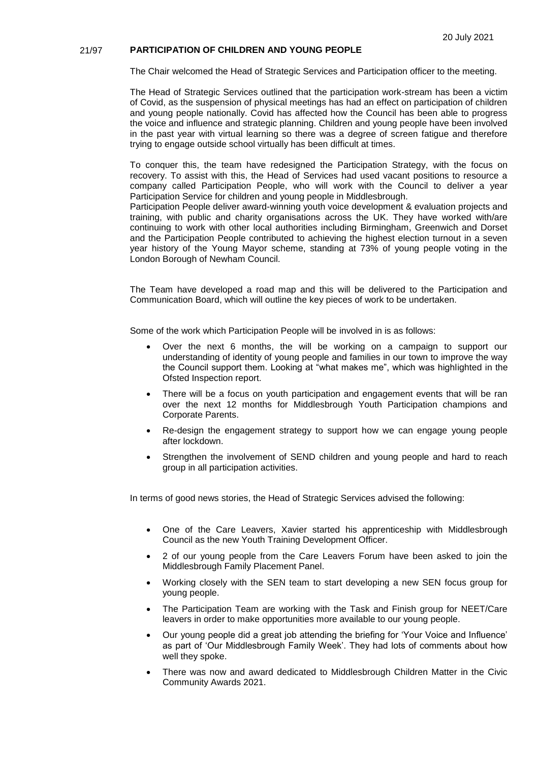## 21/97 **PARTICIPATION OF CHILDREN AND YOUNG PEOPLE**

The Chair welcomed the Head of Strategic Services and Participation officer to the meeting.

The Head of Strategic Services outlined that the participation work-stream has been a victim of Covid, as the suspension of physical meetings has had an effect on participation of children and young people nationally. Covid has affected how the Council has been able to progress the voice and influence and strategic planning. Children and young people have been involved in the past year with virtual learning so there was a degree of screen fatigue and therefore trying to engage outside school virtually has been difficult at times.

To conquer this, the team have redesigned the Participation Strategy, with the focus on recovery. To assist with this, the Head of Services had used vacant positions to resource a company called Participation People, who will work with the Council to deliver a year Participation Service for children and young people in Middlesbrough.

Participation People deliver award-winning youth voice development & evaluation projects and training, with public and charity organisations across the UK. They have worked with/are continuing to work with other local authorities including Birmingham, Greenwich and Dorset and the Participation People contributed to achieving the highest election turnout in a seven year history of the Young Mayor scheme, standing at 73% of young people voting in the London Borough of Newham Council.

The Team have developed a road map and this will be delivered to the Participation and Communication Board, which will outline the key pieces of work to be undertaken.

Some of the work which Participation People will be involved in is as follows:

- Over the next 6 months, the will be working on a campaign to support our understanding of identity of young people and families in our town to improve the way the Council support them. Looking at "what makes me", which was highlighted in the Ofsted Inspection report.
- There will be a focus on youth participation and engagement events that will be ran over the next 12 months for Middlesbrough Youth Participation champions and Corporate Parents.
- Re-design the engagement strategy to support how we can engage young people after lockdown.
- Strengthen the involvement of SEND children and young people and hard to reach group in all participation activities.

In terms of good news stories, the Head of Strategic Services advised the following:

- One of the Care Leavers, Xavier started his apprenticeship with Middlesbrough Council as the new Youth Training Development Officer.
- 2 of our young people from the Care Leavers Forum have been asked to join the Middlesbrough Family Placement Panel.
- Working closely with the SEN team to start developing a new SEN focus group for young people.
- The Participation Team are working with the Task and Finish group for NEET/Care leavers in order to make opportunities more available to our young people.
- Our young people did a great job attending the briefing for 'Your Voice and Influence' as part of 'Our Middlesbrough Family Week'. They had lots of comments about how well they spoke.
- There was now and award dedicated to Middlesbrough Children Matter in the Civic Community Awards 2021.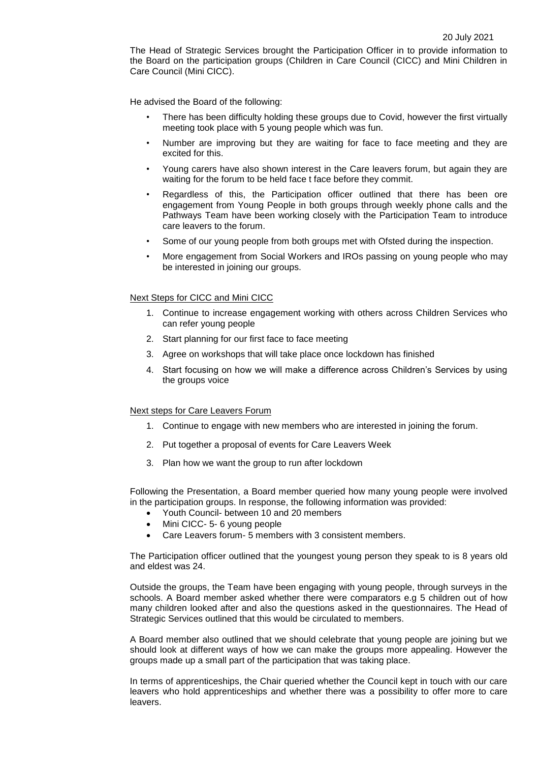The Head of Strategic Services brought the Participation Officer in to provide information to the Board on the participation groups (Children in Care Council (CICC) and Mini Children in Care Council (Mini CICC).

He advised the Board of the following:

- There has been difficulty holding these groups due to Covid, however the first virtually meeting took place with 5 young people which was fun.
- Number are improving but they are waiting for face to face meeting and they are excited for this.
- Young carers have also shown interest in the Care leavers forum, but again they are waiting for the forum to be held face t face before they commit.
- Regardless of this, the Participation officer outlined that there has been ore engagement from Young People in both groups through weekly phone calls and the Pathways Team have been working closely with the Participation Team to introduce care leavers to the forum.
- Some of our young people from both groups met with Ofsted during the inspection.
- More engagement from Social Workers and IROs passing on young people who may be interested in joining our groups.

#### Next Steps for CICC and Mini CICC

- 1. Continue to increase engagement working with others across Children Services who can refer young people
- 2. Start planning for our first face to face meeting
- 3. Agree on workshops that will take place once lockdown has finished
- 4. Start focusing on how we will make a difference across Children's Services by using the groups voice

#### Next steps for Care Leavers Forum

- 1. Continue to engage with new members who are interested in joining the forum.
- 2. Put together a proposal of events for Care Leavers Week
- 3. Plan how we want the group to run after lockdown

Following the Presentation, a Board member queried how many young people were involved in the participation groups. In response, the following information was provided:

- Youth Council- between 10 and 20 members
- Mini CICC- 5- 6 young people
- Care Leavers forum- 5 members with 3 consistent members.

The Participation officer outlined that the youngest young person they speak to is 8 years old and eldest was 24.

Outside the groups, the Team have been engaging with young people, through surveys in the schools. A Board member asked whether there were comparators e.g 5 children out of how many children looked after and also the questions asked in the questionnaires. The Head of Strategic Services outlined that this would be circulated to members.

A Board member also outlined that we should celebrate that young people are joining but we should look at different ways of how we can make the groups more appealing. However the groups made up a small part of the participation that was taking place.

In terms of apprenticeships, the Chair queried whether the Council kept in touch with our care leavers who hold apprenticeships and whether there was a possibility to offer more to care leavers.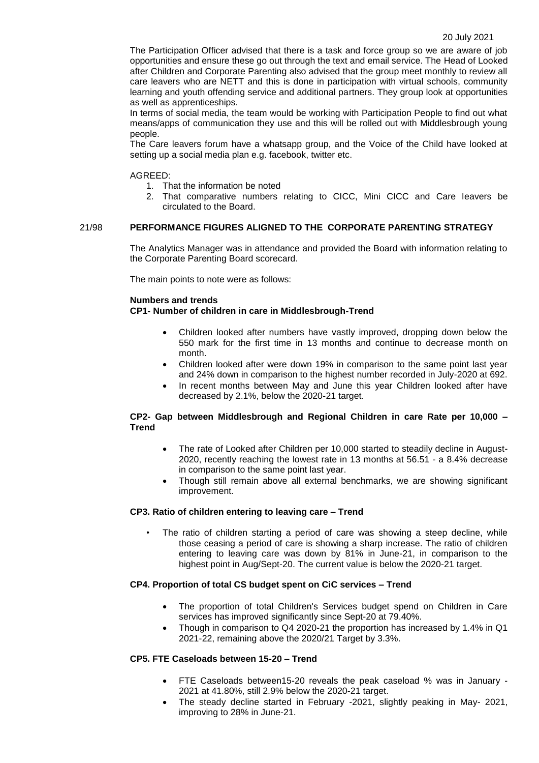The Participation Officer advised that there is a task and force group so we are aware of job opportunities and ensure these go out through the text and email service. The Head of Looked after Children and Corporate Parenting also advised that the group meet monthly to review all care leavers who are NETT and this is done in participation with virtual schools, community learning and youth offending service and additional partners. They group look at opportunities as well as apprenticeships.

In terms of social media, the team would be working with Participation People to find out what means/apps of communication they use and this will be rolled out with Middlesbrough young people.

The Care leavers forum have a whatsapp group, and the Voice of the Child have looked at setting up a social media plan e.g. facebook, twitter etc.

#### AGREED:

- 1. That the information be noted
- 2. That comparative numbers relating to CICC, Mini CICC and Care leavers be circulated to the Board.

# 21/98 **PERFORMANCE FIGURES ALIGNED TO THE CORPORATE PARENTING STRATEGY**

The Analytics Manager was in attendance and provided the Board with information relating to the Corporate Parenting Board scorecard.

The main points to note were as follows:

#### **Numbers and trends**

# **CP1- Number of children in care in Middlesbrough-Trend**

- Children looked after numbers have vastly improved, dropping down below the 550 mark for the first time in 13 months and continue to decrease month on month.
- Children looked after were down 19% in comparison to the same point last year and 24% down in comparison to the highest number recorded in July-2020 at 692.
- In recent months between May and June this year Children looked after have decreased by 2.1%, below the 2020-21 target.

# **CP2- Gap between Middlesbrough and Regional Children in care Rate per 10,000 – Trend**

- The rate of Looked after Children per 10,000 started to steadily decline in August-2020, recently reaching the lowest rate in 13 months at 56.51 - a 8.4% decrease in comparison to the same point last year.
- Though still remain above all external benchmarks, we are showing significant improvement.

### **CP3. Ratio of children entering to leaving care – Trend**

The ratio of children starting a period of care was showing a steep decline, while those ceasing a period of care is showing a sharp increase. The ratio of children entering to leaving care was down by 81% in June-21, in comparison to the highest point in Aug/Sept-20. The current value is below the 2020-21 target.

### **CP4. Proportion of total CS budget spent on CiC services – Trend**

- The proportion of total Children's Services budget spend on Children in Care services has improved significantly since Sept-20 at 79.40%.
- Though in comparison to Q4 2020-21 the proportion has increased by 1.4% in Q1 2021-22, remaining above the 2020/21 Target by 3.3%.

# **CP5. FTE Caseloads between 15-20 – Trend**

- FTE Caseloads between15-20 reveals the peak caseload % was in January 2021 at 41.80%, still 2.9% below the 2020-21 target.
- The steady decline started in February -2021, slightly peaking in May- 2021, improving to 28% in June-21.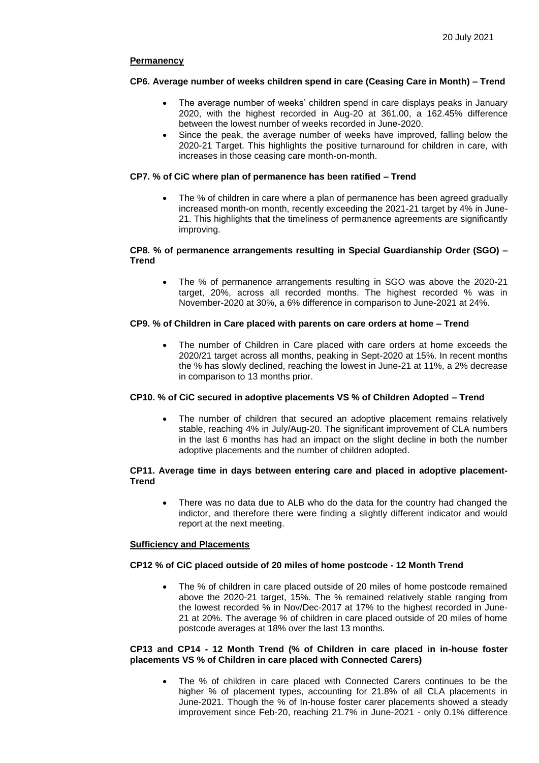## **Permanency**

# **CP6. Average number of weeks children spend in care (Ceasing Care in Month) – Trend**

- The average number of weeks' children spend in care displays peaks in January 2020, with the highest recorded in Aug-20 at 361.00, a 162.45% difference between the lowest number of weeks recorded in June-2020.
- Since the peak, the average number of weeks have improved, falling below the 2020-21 Target. This highlights the positive turnaround for children in care, with increases in those ceasing care month-on-month.

# **CP7. % of CiC where plan of permanence has been ratified – Trend**

 The % of children in care where a plan of permanence has been agreed gradually increased month-on month, recently exceeding the 2021-21 target by 4% in June-21. This highlights that the timeliness of permanence agreements are significantly improving.

## **CP8. % of permanence arrangements resulting in Special Guardianship Order (SGO) – Trend**

 The % of permanence arrangements resulting in SGO was above the 2020-21 target, 20%, across all recorded months. The highest recorded % was in November-2020 at 30%, a 6% difference in comparison to June-2021 at 24%.

# **CP9. % of Children in Care placed with parents on care orders at home – Trend**

 The number of Children in Care placed with care orders at home exceeds the 2020/21 target across all months, peaking in Sept-2020 at 15%. In recent months the % has slowly declined, reaching the lowest in June-21 at 11%, a 2% decrease in comparison to 13 months prior.

### **CP10. % of CiC secured in adoptive placements VS % of Children Adopted – Trend**

 The number of children that secured an adoptive placement remains relatively stable, reaching 4% in July/Aug-20. The significant improvement of CLA numbers in the last 6 months has had an impact on the slight decline in both the number adoptive placements and the number of children adopted.

### **CP11. Average time in days between entering care and placed in adoptive placement-Trend**

 There was no data due to ALB who do the data for the country had changed the indictor, and therefore there were finding a slightly different indicator and would report at the next meeting.

### **Sufficiency and Placements**

### **CP12 % of CiC placed outside of 20 miles of home postcode - 12 Month Trend**

 The % of children in care placed outside of 20 miles of home postcode remained above the 2020-21 target, 15%. The % remained relatively stable ranging from the lowest recorded % in Nov/Dec-2017 at 17% to the highest recorded in June-21 at 20%. The average % of children in care placed outside of 20 miles of home postcode averages at 18% over the last 13 months.

### **CP13 and CP14 - 12 Month Trend (% of Children in care placed in in-house foster placements VS % of Children in care placed with Connected Carers)**

 The % of children in care placed with Connected Carers continues to be the higher % of placement types, accounting for 21.8% of all CLA placements in June-2021. Though the % of In-house foster carer placements showed a steady improvement since Feb-20, reaching 21.7% in June-2021 - only 0.1% difference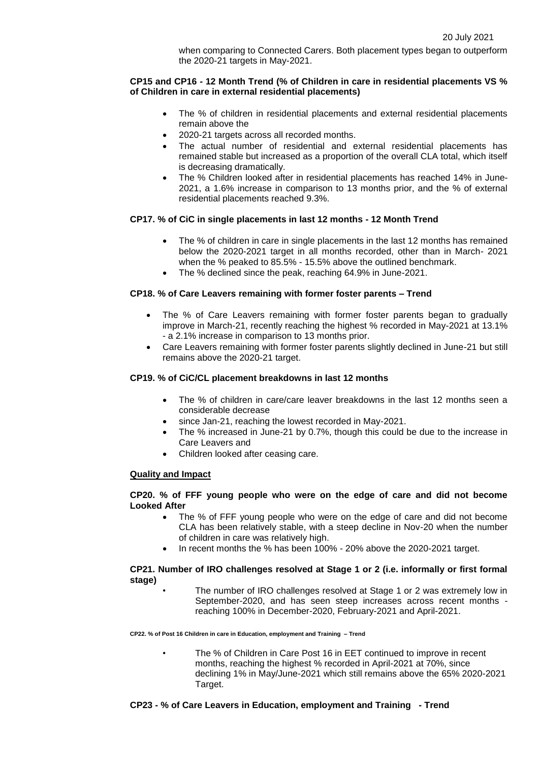when comparing to Connected Carers. Both placement types began to outperform the 2020-21 targets in May-2021.

### **CP15 and CP16 - 12 Month Trend (% of Children in care in residential placements VS % of Children in care in external residential placements)**

- The % of children in residential placements and external residential placements remain above the
- 2020-21 targets across all recorded months.
- The actual number of residential and external residential placements has remained stable but increased as a proportion of the overall CLA total, which itself is decreasing dramatically.
- The % Children looked after in residential placements has reached 14% in June-2021, a 1.6% increase in comparison to 13 months prior, and the % of external residential placements reached 9.3%.

# **CP17. % of CiC in single placements in last 12 months - 12 Month Trend**

- The % of children in care in single placements in the last 12 months has remained below the 2020-2021 target in all months recorded, other than in March- 2021 when the % peaked to 85.5% - 15.5% above the outlined benchmark.
- The % declined since the peak, reaching 64.9% in June-2021.

# **CP18. % of Care Leavers remaining with former foster parents – Trend**

- The % of Care Leavers remaining with former foster parents began to gradually improve in March-21, recently reaching the highest % recorded in May-2021 at 13.1% - a 2.1% increase in comparison to 13 months prior.
- Care Leavers remaining with former foster parents slightly declined in June-21 but still remains above the 2020-21 target.

## **CP19. % of CiC/CL placement breakdowns in last 12 months**

- The % of children in care/care leaver breakdowns in the last 12 months seen a considerable decrease
- since Jan-21, reaching the lowest recorded in May-2021.
- The % increased in June-21 by 0.7%, though this could be due to the increase in Care Leavers and
- Children looked after ceasing care.

### **Quality and Impact**

### **CP20. % of FFF young people who were on the edge of care and did not become Looked After**

- The % of FFF young people who were on the edge of care and did not become CLA has been relatively stable, with a steep decline in Nov-20 when the number of children in care was relatively high.
- In recent months the % has been 100% 20% above the 2020-2021 target.

### **CP21. Number of IRO challenges resolved at Stage 1 or 2 (i.e. informally or first formal stage)**

• The number of IRO challenges resolved at Stage 1 or 2 was extremely low in September-2020, and has seen steep increases across recent months reaching 100% in December-2020, February-2021 and April-2021.

**CP22. % of Post 16 Children in care in Education, employment and Training – Trend**

The % of Children in Care Post 16 in EET continued to improve in recent months, reaching the highest % recorded in April-2021 at 70%, since declining 1% in May/June-2021 which still remains above the 65% 2020-2021 Target.

# **CP23 - % of Care Leavers in Education, employment and Training - Trend**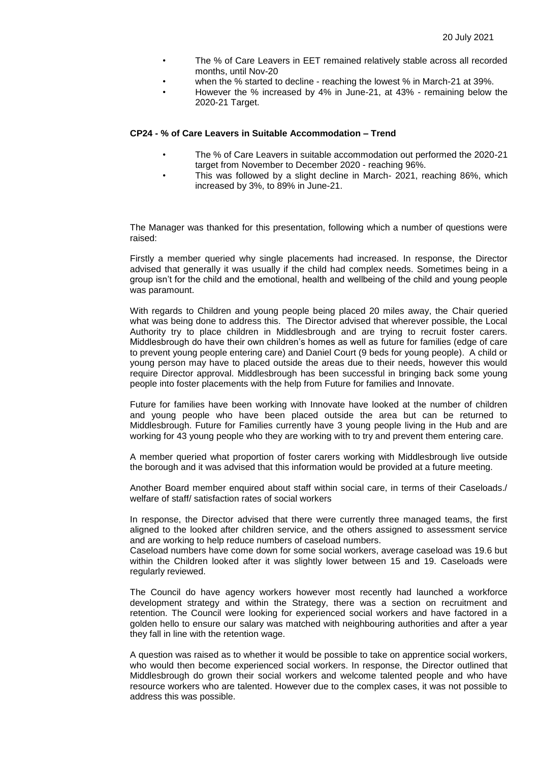- The % of Care Leavers in EET remained relatively stable across all recorded months, until Nov-20
- when the % started to decline reaching the lowest % in March-21 at 39%.
- However the % increased by 4% in June-21, at 43% remaining below the 2020-21 Target.

## **CP24 - % of Care Leavers in Suitable Accommodation – Trend**

- The % of Care Leavers in suitable accommodation out performed the 2020-21 target from November to December 2020 - reaching 96%.
- This was followed by a slight decline in March- 2021, reaching 86%, which increased by 3%, to 89% in June-21.

The Manager was thanked for this presentation, following which a number of questions were raised:

Firstly a member queried why single placements had increased. In response, the Director advised that generally it was usually if the child had complex needs. Sometimes being in a group isn't for the child and the emotional, health and wellbeing of the child and young people was paramount.

With regards to Children and young people being placed 20 miles away, the Chair queried what was being done to address this. The Director advised that wherever possible, the Local Authority try to place children in Middlesbrough and are trying to recruit foster carers. Middlesbrough do have their own children's homes as well as future for families (edge of care to prevent young people entering care) and Daniel Court (9 beds for young people). A child or young person may have to placed outside the areas due to their needs, however this would require Director approval. Middlesbrough has been successful in bringing back some young people into foster placements with the help from Future for families and Innovate.

Future for families have been working with Innovate have looked at the number of children and young people who have been placed outside the area but can be returned to Middlesbrough. Future for Families currently have 3 young people living in the Hub and are working for 43 young people who they are working with to try and prevent them entering care.

A member queried what proportion of foster carers working with Middlesbrough live outside the borough and it was advised that this information would be provided at a future meeting.

Another Board member enquired about staff within social care, in terms of their Caseloads./ welfare of staff/ satisfaction rates of social workers

In response, the Director advised that there were currently three managed teams, the first aligned to the looked after children service, and the others assigned to assessment service and are working to help reduce numbers of caseload numbers.

Caseload numbers have come down for some social workers, average caseload was 19.6 but within the Children looked after it was slightly lower between 15 and 19. Caseloads were regularly reviewed.

The Council do have agency workers however most recently had launched a workforce development strategy and within the Strategy, there was a section on recruitment and retention. The Council were looking for experienced social workers and have factored in a golden hello to ensure our salary was matched with neighbouring authorities and after a year they fall in line with the retention wage.

A question was raised as to whether it would be possible to take on apprentice social workers, who would then become experienced social workers. In response, the Director outlined that Middlesbrough do grown their social workers and welcome talented people and who have resource workers who are talented. However due to the complex cases, it was not possible to address this was possible.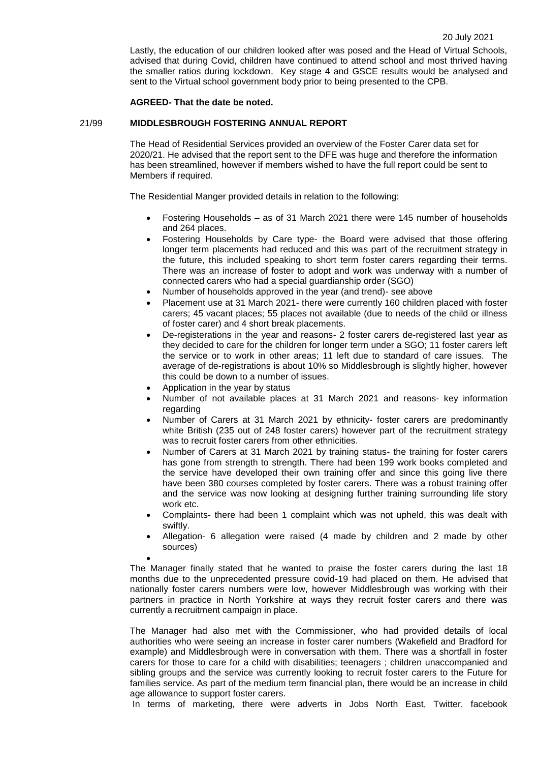Lastly, the education of our children looked after was posed and the Head of Virtual Schools, advised that during Covid, children have continued to attend school and most thrived having the smaller ratios during lockdown. Key stage 4 and GSCE results would be analysed and sent to the Virtual school government body prior to being presented to the CPB.

#### **AGREED- That the date be noted.**

#### 21/99 **MIDDLESBROUGH FOSTERING ANNUAL REPORT**

The Head of Residential Services provided an overview of the Foster Carer data set for 2020/21. He advised that the report sent to the DFE was huge and therefore the information has been streamlined, however if members wished to have the full report could be sent to Members if required.

The Residential Manger provided details in relation to the following:

- Fostering Households as of 31 March 2021 there were 145 number of households and 264 places.
- Fostering Households by Care type- the Board were advised that those offering longer term placements had reduced and this was part of the recruitment strategy in the future, this included speaking to short term foster carers regarding their terms. There was an increase of foster to adopt and work was underway with a number of connected carers who had a special guardianship order (SGO)
- Number of households approved in the year (and trend)- see above
- Placement use at 31 March 2021- there were currently 160 children placed with foster carers; 45 vacant places; 55 places not available (due to needs of the child or illness of foster carer) and 4 short break placements.
- De-registerations in the year and reasons- 2 foster carers de-registered last year as they decided to care for the children for longer term under a SGO; 11 foster carers left the service or to work in other areas; 11 left due to standard of care issues. The average of de-registrations is about 10% so Middlesbrough is slightly higher, however this could be down to a number of issues.
- Application in the year by status
- Number of not available places at 31 March 2021 and reasons- key information regarding
- Number of Carers at 31 March 2021 by ethnicity- foster carers are predominantly white British (235 out of 248 foster carers) however part of the recruitment strategy was to recruit foster carers from other ethnicities.
- Number of Carers at 31 March 2021 by training status- the training for foster carers has gone from strength to strength. There had been 199 work books completed and the service have developed their own training offer and since this going live there have been 380 courses completed by foster carers. There was a robust training offer and the service was now looking at designing further training surrounding life story work etc.
- Complaints- there had been 1 complaint which was not upheld, this was dealt with swiftly.
- Allegation- 6 allegation were raised (4 made by children and 2 made by other sources)

 $\bullet$ The Manager finally stated that he wanted to praise the foster carers during the last 18 months due to the unprecedented pressure covid-19 had placed on them. He advised that nationally foster carers numbers were low, however Middlesbrough was working with their partners in practice in North Yorkshire at ways they recruit foster carers and there was currently a recruitment campaign in place.

The Manager had also met with the Commissioner, who had provided details of local authorities who were seeing an increase in foster carer numbers (Wakefield and Bradford for example) and Middlesbrough were in conversation with them. There was a shortfall in foster carers for those to care for a child with disabilities; teenagers ; children unaccompanied and sibling groups and the service was currently looking to recruit foster carers to the Future for families service. As part of the medium term financial plan, there would be an increase in child age allowance to support foster carers.

In terms of marketing, there were adverts in Jobs North East, Twitter, facebook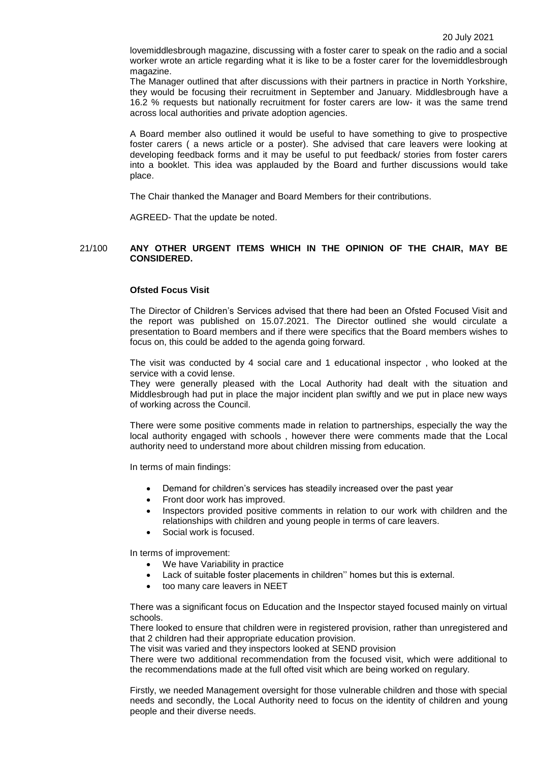lovemiddlesbrough magazine, discussing with a foster carer to speak on the radio and a social worker wrote an article regarding what it is like to be a foster carer for the lovemiddlesbrough magazine.

The Manager outlined that after discussions with their partners in practice in North Yorkshire, they would be focusing their recruitment in September and January. Middlesbrough have a 16.2 % requests but nationally recruitment for foster carers are low- it was the same trend across local authorities and private adoption agencies.

A Board member also outlined it would be useful to have something to give to prospective foster carers ( a news article or a poster). She advised that care leavers were looking at developing feedback forms and it may be useful to put feedback/ stories from foster carers into a booklet. This idea was applauded by the Board and further discussions would take place.

The Chair thanked the Manager and Board Members for their contributions.

AGREED- That the update be noted.

#### 21/100 **ANY OTHER URGENT ITEMS WHICH IN THE OPINION OF THE CHAIR, MAY BE CONSIDERED.**

#### **Ofsted Focus Visit**

The Director of Children's Services advised that there had been an Ofsted Focused Visit and the report was published on 15.07.2021. The Director outlined she would circulate a presentation to Board members and if there were specifics that the Board members wishes to focus on, this could be added to the agenda going forward.

The visit was conducted by 4 social care and 1 educational inspector , who looked at the service with a covid lense.

They were generally pleased with the Local Authority had dealt with the situation and Middlesbrough had put in place the major incident plan swiftly and we put in place new ways of working across the Council.

There were some positive comments made in relation to partnerships, especially the way the local authority engaged with schools , however there were comments made that the Local authority need to understand more about children missing from education.

In terms of main findings:

- Demand for children's services has steadily increased over the past year
- Front door work has improved.
- Inspectors provided positive comments in relation to our work with children and the relationships with children and young people in terms of care leavers.
- Social work is focused.

In terms of improvement:

- We have Variability in practice
- Lack of suitable foster placements in children'' homes but this is external.
- too many care leavers in NEET

There was a significant focus on Education and the Inspector stayed focused mainly on virtual schools.

There looked to ensure that children were in registered provision, rather than unregistered and that 2 children had their appropriate education provision.

The visit was varied and they inspectors looked at SEND provision

There were two additional recommendation from the focused visit, which were additional to the recommendations made at the full ofted visit which are being worked on regulary.

Firstly, we needed Management oversight for those vulnerable children and those with special needs and secondly, the Local Authority need to focus on the identity of children and young people and their diverse needs.